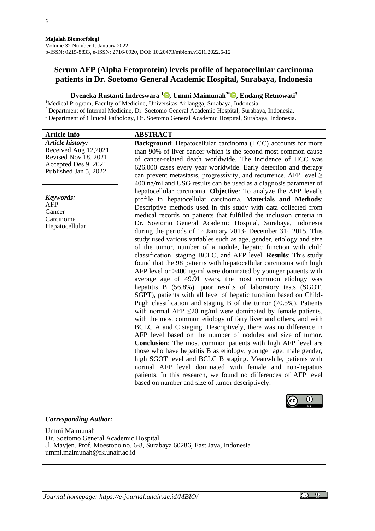# **Serum AFP (Alpha Fetoprotein) levels profile of hepatocellular carcinoma patients in Dr. Soetomo General Academic Hospital, Surabaya, Indonesia**

# **Dyeneka Rustanti Indreswara <sup>1</sup> [,](https://orcid.org/0000-0002-7328-3449) Ummi Maimunah2\* [,](https://orcid.org/0000-0002-2496-4336) Endang Retnowati<sup>3</sup>**

<sup>1</sup>Medical Program, Faculty of Medicine, Universitas Airlangga, Surabaya, Indonesia.

<sup>2</sup> Department of Internal Medicine, Dr. Soetomo General Academic Hospital, Surabaya, Indonesia.

<sup>3</sup>Department of Clinical Pathology, Dr. Soetomo General Academic Hospital, Surabaya, Indonesia.

| <b>Article Info</b>                                                                                                      | <b>ABSTRACT</b>                                                                                                                                                                                                                                                                                                                                                                                                                                                                                                                                                                                                                                                                                                                                                                                                                                                                                                                                                                                                                                                                                                                                                                                                                                                                                                                                                                                                                                                                                                                                                                                                                                                                                                            |
|--------------------------------------------------------------------------------------------------------------------------|----------------------------------------------------------------------------------------------------------------------------------------------------------------------------------------------------------------------------------------------------------------------------------------------------------------------------------------------------------------------------------------------------------------------------------------------------------------------------------------------------------------------------------------------------------------------------------------------------------------------------------------------------------------------------------------------------------------------------------------------------------------------------------------------------------------------------------------------------------------------------------------------------------------------------------------------------------------------------------------------------------------------------------------------------------------------------------------------------------------------------------------------------------------------------------------------------------------------------------------------------------------------------------------------------------------------------------------------------------------------------------------------------------------------------------------------------------------------------------------------------------------------------------------------------------------------------------------------------------------------------------------------------------------------------------------------------------------------------|
| <b>Article history:</b><br>Received Aug 12,2021<br>Revised Nov 18. 2021<br>Accepted Des 9. 2021<br>Published Jan 5, 2022 | <b>Background:</b> Hepatocellular carcinoma (HCC) accounts for more<br>than 90% of liver cancer which is the second most common cause<br>of cancer-related death worldwide. The incidence of HCC was<br>626.000 cases every year worldwide. Early detection and therapy<br>can prevent metastasis, progressivity, and recurrence. AFP level $\geq$<br>400 ng/ml and USG results can be used as a diagnosis parameter of                                                                                                                                                                                                                                                                                                                                                                                                                                                                                                                                                                                                                                                                                                                                                                                                                                                                                                                                                                                                                                                                                                                                                                                                                                                                                                    |
| Keywords:<br><b>AFP</b><br>Cancer<br>Carcinoma<br>Hepatocellular                                                         | hepatocellular carcinoma. Objective: To analyze the AFP level's<br>profile in hepatocellular carcinoma. Materials and Methods:<br>Descriptive methods used in this study with data collected from<br>medical records on patients that fulfilled the inclusion criteria in<br>Dr. Soetomo General Academic Hospital, Surabaya, Indonesia<br>during the periods of $1st$ January 2013- December 31 $st$ 2015. This<br>study used various variables such as age, gender, etiology and size<br>of the tumor, number of a nodule, hepatic function with child<br>classification, staging BCLC, and AFP level. Results: This study<br>found that the 98 patients with hepatocellular carcinoma with high<br>AFP level or $>400$ ng/ml were dominated by younger patients with<br>average age of 49.91 years, the most common etiology was<br>hepatitis B (56.8%), poor results of laboratory tests (SGOT,<br>SGPT), patients with all level of hepatic function based on Child-<br>Pugh classification and staging B of the tumor (70.5%). Patients<br>with normal AFP $\leq$ 20 ng/ml were dominated by female patients,<br>with the most common etiology of fatty liver and others, and with<br>BCLC A and C staging. Descriptively, there was no difference in<br>AFP level based on the number of nodules and size of tumor.<br><b>Conclusion:</b> The most common patients with high AFP level are<br>those who have hepatitis B as etiology, younger age, male gender,<br>high SGOT level and BCLC B staging. Meanwhile, patients with<br>normal AFP level dominated with female and non-hepatitis<br>patients. In this research, we found no differences of AFP level<br>based on number and size of tumor descriptively. |

## *Corresponding Author:*

Ummi Maimunah Dr. Soetomo General Academic Hospital Jl. Mayjen. Prof. Moestopo no. 6-8, Surabaya 60286, East Java, Indonesia ummi.maimunah@fk.unair.ac.id

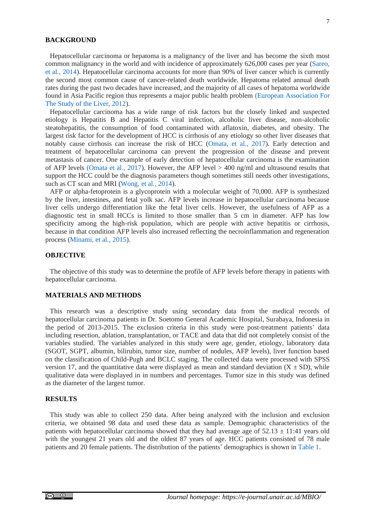## **BACKGROUND**

Hepatocellular carcinoma or hepatoma is a malignancy of the liver and has become the sixth most common malignancy in the world and with incidence of approximately 626,000 cases per year [\(Sareo,](#page-6-0)  et al., [2014\)](#page-6-0). Hepatocellular carcinoma accounts for more than 90% of liver cancer which is currently the second most common cause of cancer-related death worldwide. Hepatoma related annual death rates during the past two decades have increased, and the majority of all cases of hepatoma worldwide found in Asia Pacific region thus represents a major public health problem [\(European Association For](#page-5-0)  [The Study of the Liver, 2012\)](#page-5-0).

Hepatocellular carcinoma has a wide range of risk factors but the closely linked and suspected etiology is Hepatitis B and Hepatitis C viral infection, alcoholic liver disease, non-alcoholic steatohepatitis, the consumption of food contaminated with aflatoxin, diabetes, and obesity. The largest risk factor for the development of HCC is cirrhosis of any etiology so other liver diseases that notably cause cirrhosis can increase the risk of HCC [\(Omata, et al](#page-6-1)*.*, 2017). Early detection and treatment of hepatocellular carcinoma can prevent the progression of the disease and prevent metastasis of cancer. One example of early detection of hepatocellular carcinoma is the examination of AFP levels [\(Omata et al](#page-6-1)*.*, 2017). However, the AFP level > 400 ng/ml and ultrasound results that support the HCC could be the diagnosis parameters though sometimes still needs other investigations, such as CT scan and MRI [\(Wong, et al](#page-6-2)*.*, 2014).

AFP or alpha-fetoprotein is a glycoprotein with a molecular weight of 70,000. AFP is synthesized by the liver, intestines, and fetal yolk sac. AFP levels increase in hepatocellular carcinoma because liver cells undergo differentiation like the fetal liver cells. However, the usefulness of AFP as a diagnostic test in small HCCs is limited to those smaller than 5 cm in diameter. AFP has low specificity among the high-risk population, which are people with active hepatitis or cirrhosis, because in that condition AFP levels also increased reflecting the necroinflammation and regeneration process [\(Minami, et al](#page-5-1)*.*, 2015).

## **OBJECTIVE**

The objective of this study was to determine the profile of AFP levels before therapy in patients with hepatocellular carcinoma.

### **MATERIALS AND METHODS**

This research was a descriptive study using secondary data from the medical records of hepatocellular carcinoma patients in Dr. Soetomo General Academic Hospital, Surabaya, Indonesia in the period of 2013-2015. The exclusion criteria in this study were post-treatment patients' data including resection, ablation, transplantation, or TACE and data that did not completely consist of the variables studied. The variables analyzed in this study were age, gender, etiology, laboratory data (SGOT, SGPT, albumin, bilirubin, tumor size, number of nodules, AFP levels), liver function based on the classification of Child-Pugh and BCLC staging. The collected data were processed with SPSS version 17, and the quantitative data were displayed as mean and standard deviation  $(X \pm SD)$ , while qualitative data were displayed in in numbers and percentages. Tumor size in this study was defined as the diameter of the largest tumor.

## **RESULTS**

<span id="page-1-0"></span>This study was able to collect 250 data. After being analyzed with the inclusion and exclusion criteria, we obtained 98 data and used these data as sample. Demographic characteristics of the patients with hepatocellular carcinoma showed that they had average age of  $52.13 \pm 11:41$  years old with the youngest 21 years old and the oldest 87 years of age. HCC patients consisted of 78 male patients and 20 female patients. The distribution of the patients' demographics is shown in [Table 1.](#page-1-0)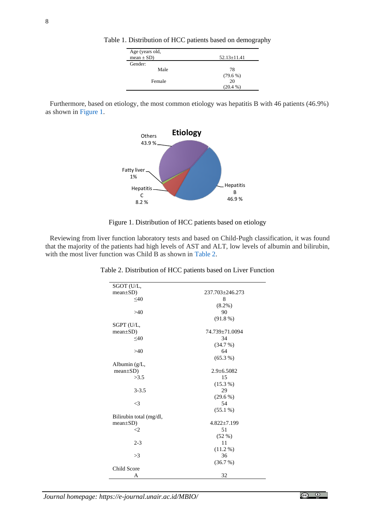| Table 1. Distribution of HCC patients based on demography |  |  |  |
|-----------------------------------------------------------|--|--|--|
|                                                           |  |  |  |

| Age (years old, |                   |  |  |
|-----------------|-------------------|--|--|
| $mean \pm SD$ ) | $52.13 \pm 11.41$ |  |  |
| Gender:         |                   |  |  |
| Male            | 78                |  |  |
|                 | $(79.6\%)$        |  |  |
| Female          | 20                |  |  |
|                 | $(20.4\%)$        |  |  |

Furthermore, based on etiology, the most common etiology was hepatitis B with 46 patients (46.9%) as shown i[n Figure 1.](#page-2-0)



Figure 1. Distribution of HCC patients based on etiology

<span id="page-2-1"></span><span id="page-2-0"></span>Reviewing from liver function laboratory tests and based on Child-Pugh classification, it was found that the majority of the patients had high levels of AST and ALT, low levels of albumin and bilirubin, with the most liver function was Child B as shown in [Table 2.](#page-2-1)

| SGOT (U/L,              |                  |
|-------------------------|------------------|
| $mean \pm SD$ )         | 237.703±246.273  |
| $\leq 40$               | 8                |
|                         | $(8.2\%)$        |
| >40                     | 90               |
|                         | $(91.8\%)$       |
| SGPT (U/L,              |                  |
| $mean \pm SD$ )         | 74.739±71.0094   |
| $<$ 40                  | 34               |
|                         | (34.7%)          |
| >40                     | 64               |
|                         | $(65.3\%)$       |
| Albumin (g/L,           |                  |
| $mean \pm SD$ )         | $2.9 \pm 6.5082$ |
| >3.5                    | 15               |
|                         | $(15.3\%)$       |
| $3 - 3.5$               | 29               |
|                         | $(29.6\%)$       |
| $\leq$ 3                | 54               |
|                         | $(55.1\%)$       |
| Bilirubin total (mg/dl, |                  |
| $mean \pm SD$ )         | 4.822±7.199      |
| $\leq$                  | 51               |
|                         | $(52\% )$        |
| $2 - 3$                 | 11               |
|                         | $(11.2\%)$       |
| >3                      | 36               |
|                         | (36.7%)          |
| Child Score             |                  |
| Α                       | 32               |

Table 2. Distribution of HCC patients based on Liver Function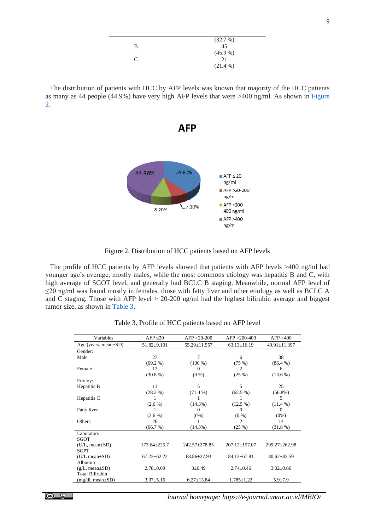|   | (32.7%)    |
|---|------------|
| B | 45         |
|   | (45.9%     |
| C | 21         |
|   | $(21.4\%)$ |
|   |            |

The distribution of patients with HCC by AFP levels was known that majority of the HCC patients as many as 44 people (44.9%) have very high AFP levels that were >400 ng/ml. As shown in [Figure](#page-3-0)  [2.](#page-3-0)



Figure 2. Distribution of HCC patients based on AFP levels

<span id="page-3-0"></span>The profile of HCC patients by AFP levels showed that patients with AFP levels >400 ng/ml had younger age's average, mostly males, while the most commons etiology was hepatitis B and C, with high average of SGOT level, and generally had BCLC B staging. Meanwhile, normal AFP level of ≤20 ng/ml was found mostly in females, those with fatty liver and other etiology as well as BCLC A and C staging. Those with AFP level > 20-200 ng/ml had the highest bilirubin average and biggest tumor size, as shown in [Table 3.](#page-3-1)

<span id="page-3-1"></span>

| Variables                   | $AFP \leq 20$     | $AFP > 20-200$   | $AFP > 200-400$   | AFP > 400         |
|-----------------------------|-------------------|------------------|-------------------|-------------------|
| Age (years, mean $\pm SD$ ) | $51.82 \pm 9.101$ | 55.29±11.557     | $63.13 \pm 16.19$ | 49.91±11.397      |
| Gender:                     |                   |                  |                   |                   |
| Male                        | 27                | 7                | 6                 | 38                |
|                             | $(69.2\%)$        | $(100\%)$        | (75%)             | $(86.4\%)$        |
| Female                      | 12                | $\Omega$         | 2                 | 6                 |
|                             | $(30.8\%)$        | $(0\%)$          | (25%)             | $(13.6\%)$        |
| Etioloy:                    |                   |                  |                   |                   |
| Hepatitis B                 | 11                | 5                | 5                 | 25                |
|                             | $(28.2\%)$        | $(71.4\%)$       | $(62.5\%)$        | $(56.8\%)$        |
| Hepatitis C                 | 1                 | 1                | 1                 | 5                 |
|                             | $(2.6\%)$         | $(14.3\%)$       | $(12.5\%)$        | $(11.4\%)$        |
| Fatty liver                 | 1                 | $\Omega$         | 0                 | $\Omega$          |
|                             | $(2.6\%)$         | $(0\%)$          | $(0\%)$           | $(0\%)$           |
| Others                      | 26                |                  | $\mathfrak{D}$    | 14                |
|                             | (66.7%)           | (14.3%)          | (25%)             | (31.8%            |
| Laboratory:                 |                   |                  |                   |                   |
| SGOT                        |                   |                  |                   |                   |
| $(U/L, mean \pm SD)$        | $173.64 + 225.7$  | 242.57+278.85    | $207.12 + 157.07$ | $299.27 + 262.98$ |
| <b>SGPT</b>                 |                   |                  |                   |                   |
| $(U/L \, mean \pm SD)$      | $67.23 + 62.22$   | 68.86+27.93      | $84.12 + 67.81$   | $80.62 \pm 83.59$ |
| Albumin                     |                   |                  |                   |                   |
| $(g/L, mean \pm SD)$        | $2.78 \pm 0.69$   | $3 \pm 0.49$     | $2.74 + 0.46$     | $3.02 \pm 0.66$   |
| <b>Total Bilirubin</b>      |                   |                  |                   |                   |
| $(mg/dl, mean \pm SD)$      | $3.97 \pm 5.16$   | $6.27 \pm 13.84$ | $1.785 \pm 1.22$  | $5.9 \pm 7.9$     |
|                             |                   |                  |                   |                   |

Table 3. Profile of HCC patients based on AFP level

*Journal homepage: https://e-journal.unair.ac.id/MBIO/*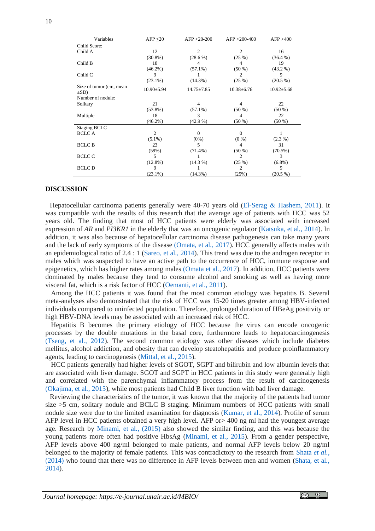| Variables                             | $AFP \leq 20$    | $AFP > 20-200$   | $AFP > 200-400$  | AFP > 400        |
|---------------------------------------|------------------|------------------|------------------|------------------|
| Child Score:                          |                  |                  |                  |                  |
| Child A                               | 12               | 2                | $\overline{2}$   | 16               |
|                                       | $(30.8\%)$       | $(28.6\%)$       | (25%)            | $(36.4\%)$       |
| Child B                               | 18               | 4                | 4                | 19               |
|                                       | $(46.2\%)$       | $(57.1\%)$       | $(50\%)$         | $(43.2\%)$       |
| Child C                               | 9                |                  | $\overline{c}$   | 9                |
|                                       | $(23.1\%)$       | $(14.3\%)$       | (25%)            | $(20.5\%)$       |
| Size of tumor (cm, mean<br>$\pm SD$ ) | $10.90 \pm 5.94$ | $14.75 \pm 7.85$ | $10.38 \pm 6.76$ | $10.92 \pm 5.68$ |
| Number of nodule:                     |                  |                  |                  |                  |
| Solitary                              | 21               | 4                | 4                | 22               |
|                                       | $(53.8\%)$       | $(57.1\%)$       | $(50\%)$         | $(50\%)$         |
| Multiple                              | 18               | 3                | 4                | 22               |
|                                       | $(46.2\%)$       | $(42.9\%)$       | $(50\%)$         | $(50\%)$         |
| Staging BCLC                          |                  |                  |                  |                  |
| <b>BCLC A</b>                         | $\overline{c}$   | $\Omega$         | $\Omega$         | 1                |
|                                       | $(5.1\%)$        | $(0\%)$          | $(0\%)$          | $(2.3\%)$        |
| <b>BCLC B</b>                         | 23               | 5                | 4                | 31               |
|                                       | (59%)            | $(71.4\%)$       | $(50\%)$         | $(70.5\%)$       |
| <b>BCLC C</b>                         | 5                | 1                | $\overline{2}$   | 3                |
|                                       | $(12.8\%)$       | $(14.3\%)$       | (25%)            | $(6.8\%)$        |
| <b>BCLC</b> D                         | 9                | 1                | $\overline{2}$   | 9                |
|                                       | $(23.1\%)$       | $(14.3\%)$       | (25%)            | $(20.5\%)$       |

#### **DISCUSSION**

Hepatocellular carcinoma patients generally were 40-70 years old (El-Serag & [Hashem, 2011\)](#page-5-2). It was compatible with the results of this research that the average age of patients with HCC was 52 years old. The finding that most of HCC patients were elderly was associated with increased expression of *AR* and *PI3KR1* in the elderly that was an oncogenic regulator [\(Katsuka, et al](#page-5-3)*.*, 2014). In addition, it was also because of hepatocellular carcinoma disease pathogenesis can take many years and the lack of early symptoms of the disease [\(Omata, et al](#page-6-1)*.*, 2017). HCC generally affects males with an epidemiological ratio of 2.4 : 1 [\(Sareo, et al., 2014\)](#page-6-0). This trend was due to the androgen receptor in males which was suspected to have an active path to the occurrence of HCC, immune response and epigenetics, which has higher rates among males [\(Omata et al](#page-6-1)*.*, 2017). In addition, HCC patients were dominated by males because they tend to consume alcohol and smoking as well as having more visceral fat, which is a risk factor of HCC [\(Oemanti, et al., 2011\)](#page-6-3).

Among the HCC patients it was found that the most common etiology was hepatitis B. Several meta-analyses also demonstrated that the risk of HCC was 15-20 times greater among HBV-infected individuals compared to uninfected population. Therefore, prolonged duration of HBeAg positivity or high HBV-DNA levels may be associated with an increased risk of HCC.

Hepatitis B becomes the primary etiology of HCC because the virus can encode oncogenic processes by the double mutations in the basal core, furthermore leads to hepatocarcinogenesis [\(Tseng, et al](#page-6-4)*.*, 2012). The second common etiology was other diseases which include diabetes mellitus, alcohol addiction, and obesity that can develop steatohepatitis and produce proinflammatory agents, leading to carcinogenesis [\(Mittal, et al](#page-6-5)*.*, 2015).

HCC patients generally had higher levels of SGOT, SGPT and bilirubin and low albumin levels that are associated with liver damage. SGOT and SGPT in HCC patients in this study were generally high and correlated with the parenchymal inflammatory process from the result of carcinogenesis [\(Okajima, et al](#page-6-6)*.*, 2015), while most patients had Child B liver function with bad liver damage.

Reviewing the characteristics of the tumor, it was known that the majority of the patients had tumor size >5 cm, solitary nodule and BCLC B staging. Minimum numbers of HCC patients with small nodule size were due to the limited examination for diagnosis [\(Kumar,](#page-5-4) et al*.*, 2014). Profile of serum AFP level in HCC patients obtained a very high level. AFP or> 400 ng ml had the youngest average age. Research by [Minami, et al](#page-5-1)*.*, (2015) also showed the similar finding, and this was because the young patients more often had positive HbsAg [\(Minami, et al](#page-5-1)*.*, 2015). From a gender perspective, AFP levels above 400 ng/ml belonged to male patients, and normal AFP levels below 20 ng/ml belonged to the majority of female patients. This was contradictory to the research from [Shata](#page-6-7) *et al.*, (2014) who found that there was no difference in AFP levels between men and women [\(Shata, et al](#page-6-7)*.*, [2014\)](#page-6-7).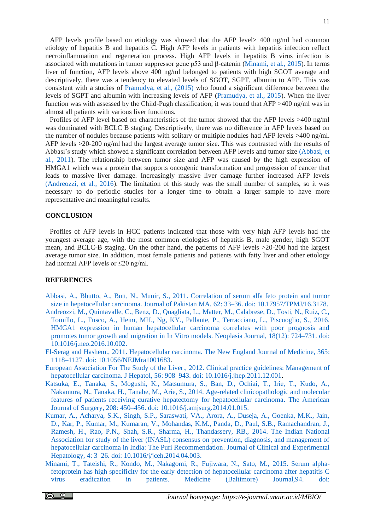AFP levels profile based on etiology was showed that the AFP level> 400 ng/ml had common etiology of hepatitis B and hepatitis C. High AFP levels in patients with hepatitis infection reflect necroinflammation and regeneration process. High AFP levels in hepatitis B virus infection is associated with mutations in tumor suppressor gene p53 and β-catenin [\(Minami, et al](#page-5-1)*.*, 2015). In terms liver of function, AFP levels above 400 ng/ml belonged to patients with high SGOT average and descriptively, there was a tendency to elevated levels of SGOT, SGPT, albumin to AFP. This was consistent with a studies of [Pramudya, et al., \(2015\)](#page-6-8) who found a significant difference between the levels of SGPT and albumin with increasing levels of AFP [\(Pramudya, et al., 2015\)](#page-6-8). When the liver function was with assessed by the Child-Pugh classification, it was found that AFP >400 ng/ml was in almost all patients with various liver functions.

Profiles of AFP level based on characteristics of the tumor showed that the AFP levels >400 ng/ml was dominated with BCLC B staging. Descriptively, there was no difference in AFP levels based on the number of nodules because patients with solitary or multiple nodules had AFP levels >400 ng/ml. AFP levels >20-200 ng/ml had the largest average tumor size. This was contrasted with the results of Abbasi's study which showed a significant correlation between AFP levels and tumor size [\(Abbasi, et](#page-5-5)  al*.*[, 2011\)](#page-5-5). The relationship between tumor size and AFP was caused by the high expression of HMGA1 which was a protein that supports oncogenic transformation and progression of cancer that leads to massive liver damage. Increasingly massive liver damage further increased AFP levels [\(Andreozzi, et al](#page-5-6)*.*, 2016). The limitation of this study was the small number of samples, so it was necessary to do periodic studies for a longer time to obtain a larger sample to have more representative and meaningful results.

#### **CONCLUSION**

Profiles of AFP levels in HCC patients indicated that those with very high AFP levels had the youngest average age, with the most common etiologies of hepatitis B, male gender, high SGOT mean, and BCLC-B staging. On the other hand, the patients of AFP levels >20-200 had the largest average tumor size. In addition, most female patients and patients with fatty liver and other etiology had normal AFP levels or ≤20 ng/ml.

## **REFERENCES**

- <span id="page-5-5"></span>[Abbasi, A., Bhutto, A., Butt, N., Munir, S.,](https://pubmed.ncbi.nlm.nih.gov/22352098/) 2011. Correlation of serum alfa feto protein and tumor [size in hepatocellular carcinoma. Journal of](https://pubmed.ncbi.nlm.nih.gov/22352098/) Pakistan MA, 62: 33–36. doi: 10.17957/TPMJ/16.3178.
- <span id="page-5-6"></span>Andreozzi, M., Quintavalle, C., Benz, [D., Quagliata, L., Matter, M., Calabrese, D., Tosti, N., Ruiz, C.,](https://www.sciencedirect.com/science/article/pii/S1476558616301634)  [Tomillo, L., Fusco, A., Heim, MH., Ng, KY., Pallante, P., Terracciano, L., Piscuoglio, S.,](https://www.sciencedirect.com/science/article/pii/S1476558616301634) 2016. [HMGA1 expression in human hepatocellular carcinoma correlates with poor prognosis and](https://www.sciencedirect.com/science/article/pii/S1476558616301634)  [promotes tumor growth and migration in In Vitro models.](https://www.sciencedirect.com/science/article/pii/S1476558616301634) Neoplasia Journal, 18(12): 724–731. doi: [10.1016/j.neo.2016.10.002.](https://www.sciencedirect.com/science/article/pii/S1476558616301634)
- <span id="page-5-2"></span>El-Serag and Hashem., 2011. [Hepatocellular carcinoma. The New England](https://www.nejm.org/doi/full/10.1056/nejmra1001683) Journal of Medicine, 365: [1118–1127. doi: 10.1056/NEJMra1001683.](https://www.nejm.org/doi/full/10.1056/nejmra1001683)
- <span id="page-5-0"></span>[European Association For The Study of the Liver., 2012.](https://www.journal-of-hepatology.eu/article/s0168-8278(11)00873-7/fulltext) Clinical practice guidelines: Management of [hepatocellular carcinoma. J Hepatol, 56: 908–943.](https://www.journal-of-hepatology.eu/article/s0168-8278(11)00873-7/fulltext) doi: 10.1016/j.jhep.2011.12.001.
- <span id="page-5-3"></span>[Katsuka, E., Tanaka, S., Mogushi, K., Matsumura, S., Ban, D., Ochiai, T., Irie, T., Kudo, A.,](https://pubmed.ncbi.nlm.nih.gov/24972857/)  [Nakamura, N., Tanaka, H., Tanabe, M., Arie, S.,](https://pubmed.ncbi.nlm.nih.gov/24972857/) 2014. Age-related clinicopathologic and molecular [features of patients receiving curative hepatectomy for hepatocellular carcinoma. The American](https://pubmed.ncbi.nlm.nih.gov/24972857/)  Journal of Surgery, 208: 450–456. [doi: 10.1016/j.amjsurg.2014.01.015.](https://pubmed.ncbi.nlm.nih.gov/24972857/)
- <span id="page-5-4"></span>[Kumar, A., Acharya, S.K., Singh, S.P., Saraswati, VA., Arora, A., Duseja, A., Goenka, M.K., Jain,](https://pubmed.ncbi.nlm.nih.gov/25755608/)  [D., Kar, P., Kumar, M., Kumaran, V., Mohandas, K.M., Panda, D., Paul, S.B., Ramachandran, J.,](https://pubmed.ncbi.nlm.nih.gov/25755608/)  Ramesh, H., Rao, P.N., Shah, S.R., [Sharma, H., Thandassery, RB., 2014.](https://pubmed.ncbi.nlm.nih.gov/25755608/) The Indian National [Association for study of the liver \(INASL\) consensus on prevention, diagnosis, and management of](https://pubmed.ncbi.nlm.nih.gov/25755608/)  [hepatocellular carcinoma in India: The Puri Recommendation.](https://pubmed.ncbi.nlm.nih.gov/25755608/) Journal of Clinical and Experimental Hepatology, 4: 3–26. [doi: 10.1016/j/jceh.2014.04.003.](https://pubmed.ncbi.nlm.nih.gov/25755608/)
- <span id="page-5-1"></span>[Minami, T., Tateishi, R., Kondo, M., Nakagomi, R., Fujiwara, N., Sato, M., 2015.](https://www.ncbi.nlm.nih.gov/pmc/articles/PMC4616483/) Serum alpha[fetoprotein has high specificity for the early detection of](https://www.ncbi.nlm.nih.gov/pmc/articles/PMC4616483/) hepatocellular carcinoma after hepatitis C [virus eradication in patients. Medicine \(Baltimore\) Journal,94. doi:](https://www.ncbi.nlm.nih.gov/pmc/articles/PMC4616483/)